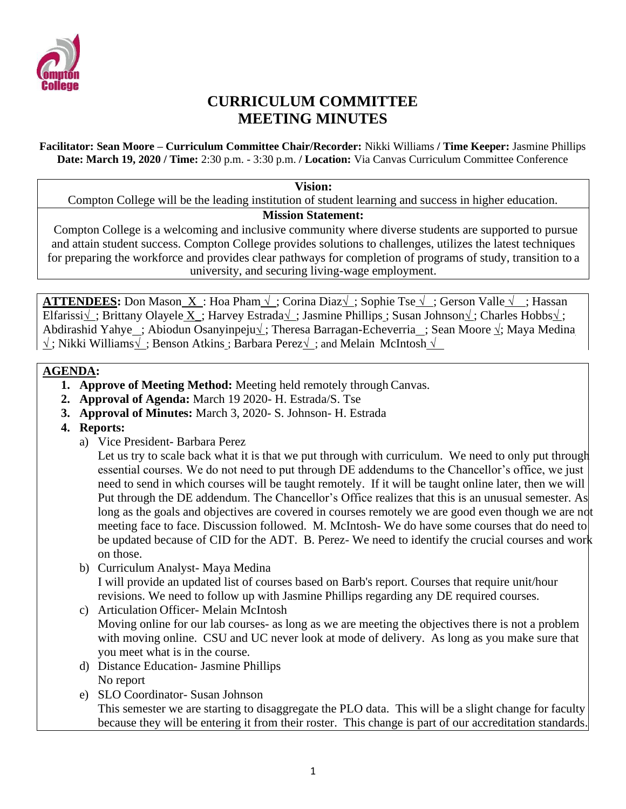

# **CURRICULUM COMMITTEE MEETING MINUTES**

**Facilitator: Sean Moore – Curriculum Committee Chair/Recorder:** Nikki Williams **/ Time Keeper:** Jasmine Phillips **Date: March 19, 2020 / Time:** 2:30 p.m. - 3:30 p.m. **/ Location:** Via Canvas Curriculum Committee Conference

#### **Vision:**

Compton College will be the leading institution of student learning and success in higher education.

#### **Mission Statement:**

Compton College is a welcoming and inclusive community where diverse students are supported to pursue and attain student success. Compton College provides solutions to challenges, utilizes the latest techniques for preparing the workforce and provides clear pathways for completion of programs of study, transition to a university, and securing living-wage employment.

**ATTENDEES:** Don Mason X : Hoa Pham √ ; Corina Diaz√ ; Sophie Tse √ ; Gerson Valle √ ; Hassan Elfarissi√ ; Brittany Olayele X\_; Harvey Estrada√ ; Jasmine Phillips ; Susan Johnson√ ; Charles Hobbs√ ; Abdirashid Yahye ; Abiodun Osanyinpeju√ ; Theresa Barragan-Echeverria ; Sean Moore √; Maya Medina √ ; Nikki Williams√ ; Benson Atkins ; Barbara Perez√ ; and Melain McIntosh √

### **AGENDA:**

- **1. Approve of Meeting Method:** Meeting held remotely through Canvas.
- **2. Approval of Agenda:** March 19 2020- H. Estrada/S. Tse
- **3. Approval of Minutes:** March 3, 2020- S. Johnson- H. Estrada
- **4. Reports:**
	- a) Vice President- Barbara Perez

Let us try to scale back what it is that we put through with curriculum. We need to only put through essential courses. We do not need to put through DE addendums to the Chancellor's office, we just need to send in which courses will be taught remotely. If it will be taught online later, then we will Put through the DE addendum. The Chancellor's Office realizes that this is an unusual semester. As long as the goals and objectives are covered in courses remotely we are good even though we are not meeting face to face. Discussion followed. M. McIntosh- We do have some courses that do need to be updated because of CID for the ADT. B. Perez- We need to identify the crucial courses and work on those.

- b) Curriculum Analyst- Maya Medina I will provide an updated list of courses based on Barb's report. Courses that require unit/hour revisions. We need to follow up with Jasmine Phillips regarding any DE required courses.
- c) Articulation Officer- Melain McIntosh Moving online for our lab courses- as long as we are meeting the objectives there is not a problem with moving online. CSU and UC never look at mode of delivery. As long as you make sure that you meet what is in the course.
- d) Distance Education- Jasmine Phillips No report
- e) SLO Coordinator- Susan Johnson This semester we are starting to disaggregate the PLO data. This will be a slight change for faculty because they will be entering it from their roster. This change is part of our accreditation standards.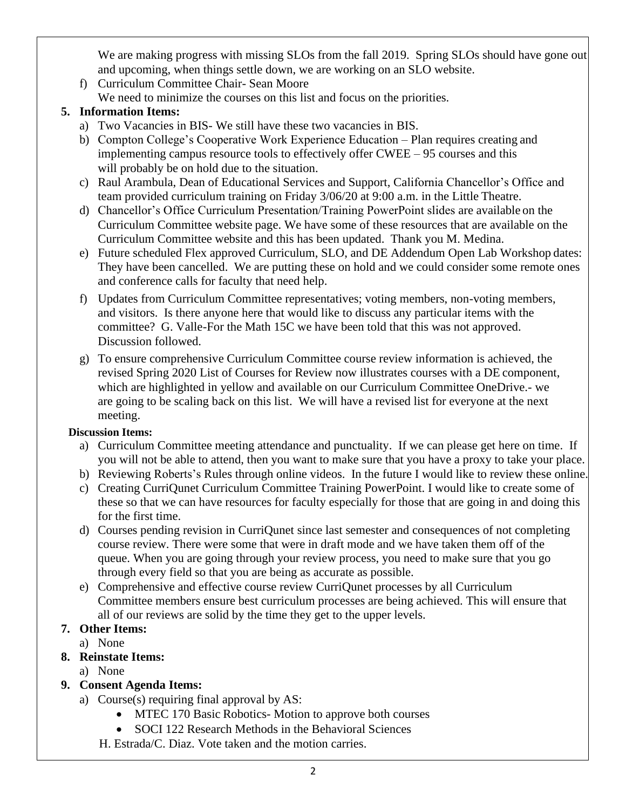We are making progress with missing SLOs from the fall 2019. Spring SLOs should have gone out and upcoming, when things settle down, we are working on an SLO website.

- f) Curriculum Committee Chair- Sean Moore
- We need to minimize the courses on this list and focus on the priorities.

### **5. Information Items:**

- a) Two Vacancies in BIS- We still have these two vacancies in BIS.
- b) Compton College's Cooperative Work Experience Education Plan requires creating and implementing campus resource tools to effectively offer CWEE – 95 courses and this will probably be on hold due to the situation.
- c) Raul Arambula, Dean of Educational Services and Support, California Chancellor's Office and team provided curriculum training on Friday 3/06/20 at 9:00 a.m. in the Little Theatre.
- d) Chancellor's Office Curriculum Presentation/Training PowerPoint slides are available on the Curriculum Committee website page. We have some of these resources that are available on the Curriculum Committee website and this has been updated. Thank you M. Medina.
- e) Future scheduled Flex approved Curriculum, SLO, and DE Addendum Open Lab Workshop dates: They have been cancelled. We are putting these on hold and we could consider some remote ones and conference calls for faculty that need help.
- f) Updates from Curriculum Committee representatives; voting members, non-voting members, and visitors. Is there anyone here that would like to discuss any particular items with the committee? G. Valle-For the Math 15C we have been told that this was not approved. Discussion followed.
- g) To ensure comprehensive Curriculum Committee course review information is achieved, the revised Spring 2020 List of Courses for Review now illustrates courses with a DE component, which are highlighted in yellow and available on our Curriculum Committee OneDrive.- we are going to be scaling back on this list. We will have a revised list for everyone at the next meeting.

### **Discussion Items:**

- a) Curriculum Committee meeting attendance and punctuality. If we can please get here on time. If you will not be able to attend, then you want to make sure that you have a proxy to take your place.
- b) Reviewing Roberts's Rules through online videos. In the future I would like to review these online.
- c) Creating CurriQunet Curriculum Committee Training PowerPoint. I would like to create some of these so that we can have resources for faculty especially for those that are going in and doing this for the first time.
- d) Courses pending revision in CurriQunet since last semester and consequences of not completing course review. There were some that were in draft mode and we have taken them off of the queue. When you are going through your review process, you need to make sure that you go through every field so that you are being as accurate as possible.
- e) Comprehensive and effective course review CurriQunet processes by all Curriculum Committee members ensure best curriculum processes are being achieved. This will ensure that all of our reviews are solid by the time they get to the upper levels.

# **7. Other Items:**

a) None

# **8. Reinstate Items:**

# a) None

# **9. Consent Agenda Items:**

- a) Course(s) requiring final approval by AS:
	- MTEC 170 Basic Robotics Motion to approve both courses
	- SOCI 122 Research Methods in the Behavioral Sciences
	- H. Estrada/C. Diaz. Vote taken and the motion carries.